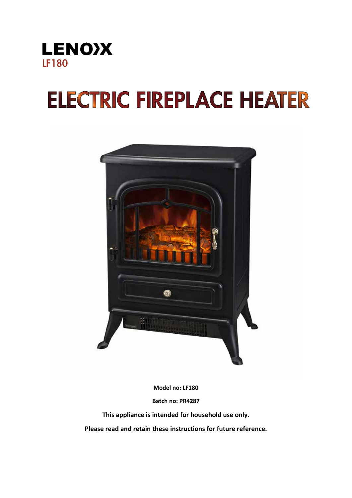

# **ELECTRIC FIREPLACE HEATER**



**Model no: LF180**

**Batch no: PR4287**

**This appliance is intended for household use only.**

**Please read and retain these instructions for future reference.**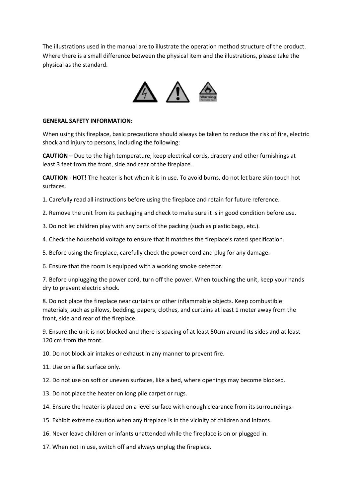The illustrations used in the manual are to illustrate the operation method structure of the product. Where there is a small difference between the physical item and the illustrations, please take the physical as the standard.



#### **GENERAL SAFETY INFORMATION:**

When using this fireplace, basic precautions should always be taken to reduce the risk of fire, electric shock and injury to persons, including the following:

**CAUTION** – Due to the high temperature, keep electrical cords, drapery and other furnishings at least 3 feet from the front, side and rear of the fireplace.

**CAUTION - HOT!** The heater is hot when it is in use. To avoid burns, do not let bare skin touch hot surfaces.

1. Carefully read all instructions before using the fireplace and retain for future reference.

2. Remove the unit from its packaging and check to make sure it is in good condition before use.

3. Do not let children play with any parts of the packing (such as plastic bags, etc.).

4. Check the household voltage to ensure that it matches the fireplace's rated specification.

5. Before using the fireplace, carefully check the power cord and plug for any damage.

6. Ensure that the room is equipped with a working smoke detector.

7. Before unplugging the power cord, turn off the power. When touching the unit, keep your hands dry to prevent electric shock.

8. Do not place the fireplace near curtains or other inflammable objects. Keep combustible materials, such as pillows, bedding, papers, clothes, and curtains at least 1 meter away from the front, side and rear of the fireplace.

9. Ensure the unit is not blocked and there is spacing of at least 50cm around its sides and at least 120 cm from the front.

10. Do not block air intakes or exhaust in any manner to prevent fire.

11. Use on a flat surface only.

12. Do not use on soft or uneven surfaces, like a bed, where openings may become blocked.

13. Do not place the heater on long pile carpet or rugs.

14. Ensure the heater is placed on a level surface with enough clearance from its surroundings.

15. Exhibit extreme caution when any fireplace is in the vicinity of children and infants.

16. Never leave children or infants unattended while the fireplace is on or plugged in.

17. When not in use, switch off and always unplug the fireplace.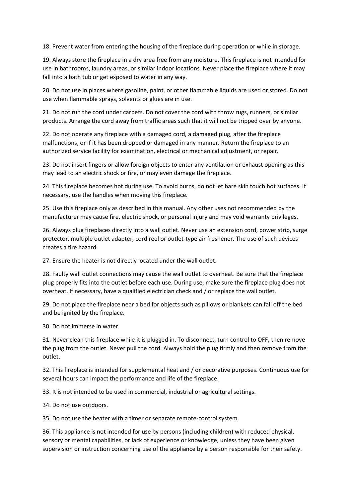18. Prevent water from entering the housing of the fireplace during operation or while in storage.

19. Always store the fireplace in a dry area free from any moisture. This fireplace is not intended for use in bathrooms, laundry areas, or similar indoor locations. Never place the fireplace where it may fall into a bath tub or get exposed to water in any way.

20. Do not use in places where gasoline, paint, or other flammable liquids are used or stored. Do not use when flammable sprays, solvents or glues are in use.

21. Do not run the cord under carpets. Do not cover the cord with throw rugs, runners, or similar products. Arrange the cord away from traffic areas such that it will not be tripped over by anyone.

22. Do not operate any fireplace with a damaged cord, a damaged plug, after the fireplace malfunctions, or if it has been dropped or damaged in any manner. Return the fireplace to an authorized service facility for examination, electrical or mechanical adjustment, or repair.

23. Do not insert fingers or allow foreign objects to enter any ventilation or exhaust opening as this may lead to an electric shock or fire, or may even damage the fireplace.

24. This fireplace becomes hot during use. To avoid burns, do not let bare skin touch hot surfaces. If necessary, use the handles when moving this fireplace.

25. Use this fireplace only as described in this manual. Any other uses not recommended by the manufacturer may cause fire, electric shock, or personal injury and may void warranty privileges.

26. Always plug fireplaces directly into a wall outlet. Never use an extension cord, power strip, surge protector, multiple outlet adapter, cord reel or outlet-type air freshener. The use of such devices creates a fire hazard.

27. Ensure the heater is not directly located under the wall outlet.

28. Faulty wall outlet connections may cause the wall outlet to overheat. Be sure that the fireplace plug properly fits into the outlet before each use. During use, make sure the fireplace plug does not overheat. If necessary, have a qualified electrician check and / or replace the wall outlet.

29. Do not place the fireplace near a bed for objects such as pillows or blankets can fall off the bed and be ignited by the fireplace.

30. Do not immerse in water.

31. Never clean this fireplace while it is plugged in. To disconnect, turn control to OFF, then remove the plug from the outlet. Never pull the cord. Always hold the plug firmly and then remove from the outlet.

32. This fireplace is intended for supplemental heat and / or decorative purposes. Continuous use for several hours can impact the performance and life of the fireplace.

33. It is not intended to be used in commercial, industrial or agricultural settings.

34. Do not use outdoors.

35. Do not use the heater with a timer or separate remote-control system.

36. This appliance is not intended for use by persons (including children) with reduced physical, sensory or mental capabilities, or lack of experience or knowledge, unless they have been given supervision or instruction concerning use of the appliance by a person responsible for their safety.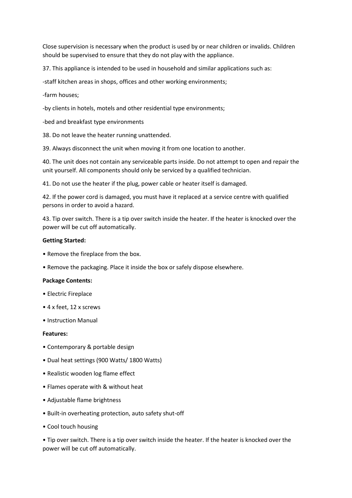Close supervision is necessary when the product is used by or near children or invalids. Children should be supervised to ensure that they do not play with the appliance.

37. This appliance is intended to be used in household and similar applications such as:

-staff kitchen areas in shops, offices and other working environments;

-farm houses;

-by clients in hotels, motels and other residential type environments;

-bed and breakfast type environments

38. Do not leave the heater running unattended.

39. Always disconnect the unit when moving it from one location to another.

40. The unit does not contain any serviceable parts inside. Do not attempt to open and repair the unit yourself. All components should only be serviced by a qualified technician.

41. Do not use the heater if the plug, power cable or heater itself is damaged.

42. If the power cord is damaged, you must have it replaced at a service centre with qualified persons in order to avoid a hazard.

43. Tip over switch. There is a tip over switch inside the heater. If the heater is knocked over the power will be cut off automatically.

# **Getting Started:**

- Remove the fireplace from the box.
- Remove the packaging. Place it inside the box or safely dispose elsewhere.

# **Package Contents:**

- Electric Fireplace
- 4 x feet, 12 x screws
- Instruction Manual

# **Features:**

- Contemporary & portable design
- Dual heat settings (900 Watts/ 1800 Watts)
- Realistic wooden log flame effect
- Flames operate with & without heat
- Adjustable flame brightness
- Built-in overheating protection, auto safety shut-off
- Cool touch housing

• Tip over switch. There is a tip over switch inside the heater. If the heater is knocked over the power will be cut off automatically.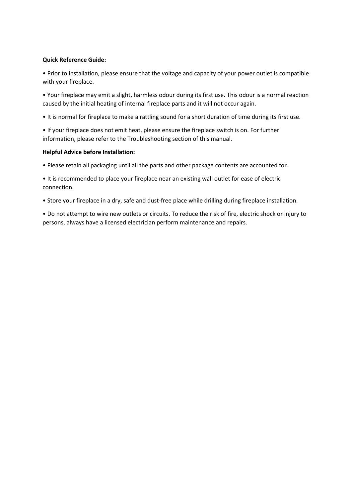# **Quick Reference Guide:**

• Prior to installation, please ensure that the voltage and capacity of your power outlet is compatible with your fireplace.

• Your fireplace may emit a slight, harmless odour during its first use. This odour is a normal reaction caused by the initial heating of internal fireplace parts and it will not occur again.

• It is normal for fireplace to make a rattling sound for a short duration of time during its first use.

• If your fireplace does not emit heat, please ensure the fireplace switch is on. For further information, please refer to the Troubleshooting section of this manual.

# **Helpful Advice before Installation:**

• Please retain all packaging until all the parts and other package contents are accounted for.

• It is recommended to place your fireplace near an existing wall outlet for ease of electric connection.

• Store your fireplace in a dry, safe and dust-free place while drilling during fireplace installation.

• Do not attempt to wire new outlets or circuits. To reduce the risk of fire, electric shock or injury to persons, always have a licensed electrician perform maintenance and repairs.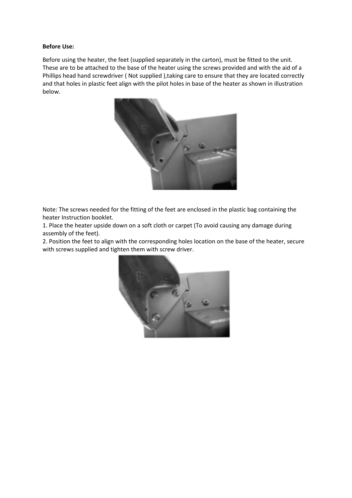# **Before Use:**

Before using the heater, the feet (supplied separately in the carton), must be fitted to the unit. These are to be attached to the base of the heater using the screws provided and with the aid of a Phillips head hand screwdriver ( Not supplied ),taking care to ensure that they are located correctly and that holes in plastic feet align with the pilot holes in base of the heater as shown in illustration below.



Note: The screws needed for the fitting of the feet are enclosed in the plastic bag containing the heater Instruction booklet.

1. Place the heater upside down on a soft cloth or carpet (To avoid causing any damage during assembly of the feet).

2. Position the feet to align with the corresponding holes location on the base of the heater, secure with screws supplied and tighten them with screw driver.

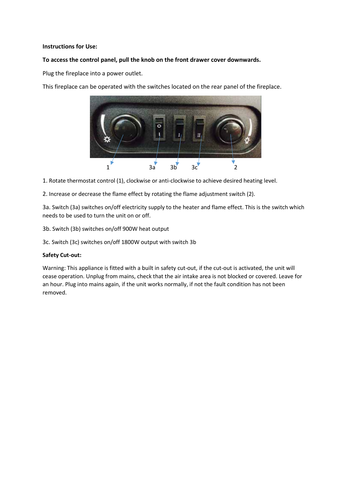# **Instructions for Use:**

# **To access the control panel, pull the knob on the front drawer cover downwards.**

Plug the fireplace into a power outlet.

This fireplace can be operated with the switches located on the rear panel of the fireplace.



- 1. Rotate thermostat control (1), clockwise or anti-clockwise to achieve desired heating level.
- 2. Increase or decrease the flame effect by rotating the flame adjustment switch (2).

3a. Switch (3a) switches on/off electricity supply to the heater and flame effect. This is the switch which needs to be used to turn the unit on or off.

3b. Switch (3b) switches on/off 900W heat output

3c. Switch (3c) switches on/off 1800W output with switch 3b

#### **Safety Cut-out:**

Warning: This appliance is fitted with a built in safety cut-out, if the cut-out is activated, the unit will cease operation. Unplug from mains, check that the air intake area is not blocked or covered. Leave for an hour. Plug into mains again, if the unit works normally, if not the fault condition has not been removed.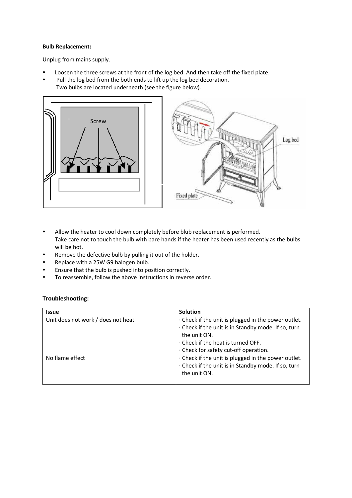#### **Bulb Replacement:**

Unplug from mains supply.

- Loosen the three screws at the front of the log bed. And then take off the fixed plate.
- Pull the log bed from the both ends to lift up the log bed decoration. Two bulbs are located underneath (see the figure below).



• Allow the heater to cool down completely before blub replacement is performed. Take care not to touch the bulb with bare hands if the heater has been used recently as the bulbs will be hot.

Log bed

- Remove the defective bulb by pulling it out of the holder.
- Replace with a 25W G9 halogen bulb.
- Ensure that the bulb is pushed into position correctly.
- To reassemble, follow the above instructions in reverse order.

# **Troubleshooting:**

| <b>Issue</b>                       | Solution                                                                                                                                                                     |
|------------------------------------|------------------------------------------------------------------------------------------------------------------------------------------------------------------------------|
| Unit does not work / does not heat | $\cdot$ Check if the unit is plugged in the power outlet.<br>. Check if the unit is in Standby mode. If so, turn<br>the unit ON.<br>$\cdot$ Check if the heat is turned OFF. |
|                                    | . Check for safety cut-off operation.                                                                                                                                        |
| No flame effect                    | · Check if the unit is plugged in the power outlet.<br>· Check if the unit is in Standby mode. If so, turn<br>the unit ON.                                                   |